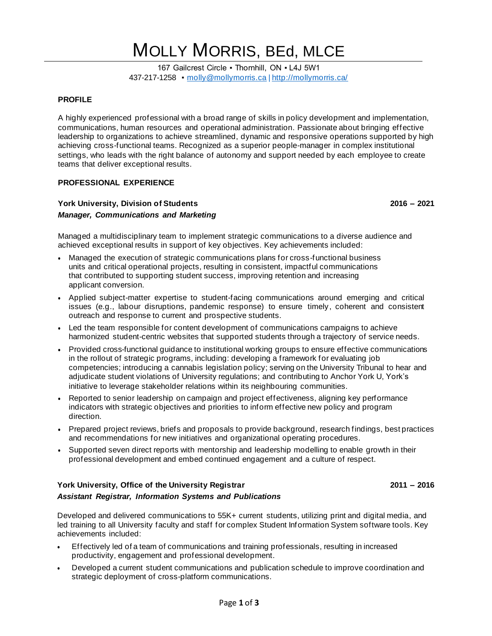# MOLLY MORRIS, BEd, MLCE

167 Gailcrest Circle · Thornhill, ON · L4J 5W1 437-217-1258 ▪ [molly@mollymorris.ca](mailto:molly@mollymorris.ca) | <http://mollymorris.ca/>

# **PROFILE**

A highly experienced professional with a broad range of skills in policy development and implementation, communications, human resources and operational administration. Passionate about bringing effective leadership to organizations to achieve streamlined, dynamic and responsive operations supported by high achieving cross-functional teams. Recognized as a superior people-manager in complex institutional settings, who leads with the right balance of autonomy and support needed by each employee to create teams that deliver exceptional results.

# **PROFESSIONAL EXPERIENCE**

# **York University, Division of Students 2016 – 2021** *Manager, Communications and Marketing*

Managed a multidisciplinary team to implement strategic communications to a diverse audience and achieved exceptional results in support of key objectives. Key achievements included:

- Managed the execution of strategic communications plans for cross-functional business units and critical operational projects, resulting in consistent, impactful communications that contributed to supporting student success, improving retention and increasing applicant conversion.
- Applied subject-matter expertise to student-facing communications around emerging and critical issues (e.g., labour disruptions, pandemic response) to ensure timely, coherent and consistent outreach and response to current and prospective students.
- Led the team responsible for content development of communications campaigns to achieve harmonized student-centric websites that supported students through a trajectory of service needs.
- Provided cross-functional guidance to institutional working groups to ensure effective communications in the rollout of strategic programs, including: developing a framework for evaluating job competencies; introducing a cannabis legislation policy; serving on the University Tribunal to hear and adjudicate student violations of University regulations; and contributing to Anchor York U, York's initiative to leverage stakeholder relations within its neighbouring communities.
- Reported to senior leadership on campaign and project effectiveness, aligning key performance indicators with strategic objectives and priorities to inform effective new policy and program direction.
- Prepared project reviews, briefs and proposals to provide background, research findings, best practices and recommendations for new initiatives and organizational operating procedures.
- Supported seven direct reports with mentorship and leadership modelling to enable growth in their professional development and embed continued engagement and a culture of respect.

# **York University, Office of the University Registrar 2011 – 2016** *Assistant Registrar, Information Systems and Publications*

Developed and delivered communications to 55K+ current students, utilizing print and digital media, and led training to all University faculty and staff for complex Student Information System software tools. Key achievements included:

- Effectively led of a team of communications and training professionals, resulting in increased productivity, engagement and professional development.
- Developed a current student communications and publication schedule to improve coordination and strategic deployment of cross-platform communications.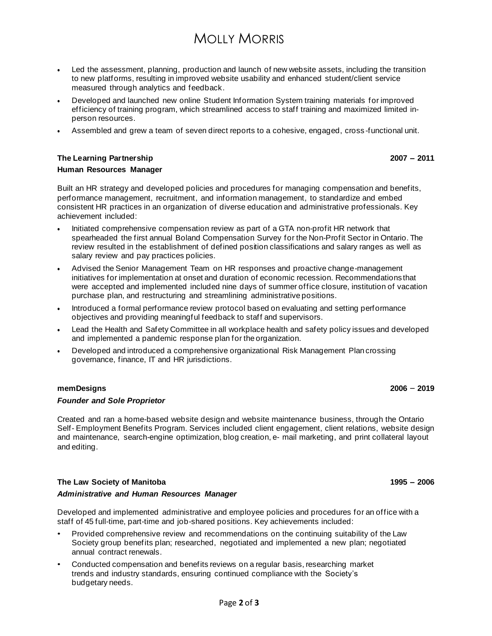# MOLLY MORRIS

- Led the assessment, planning, production and launch of new website assets, including the transition to new platforms, resulting in improved website usability and enhanced student/client service measured through analytics and feedback.
- Developed and launched new online Student Information System training materials for improved efficiency of training program, which streamlined access to staff training and maximized limited inperson resources.
- Assembled and grew a team of seven direct reports to a cohesive, engaged, cross -functional unit.

# **The Learning Partnership 2007 – 2011 Human Resources Manager**

Built an HR strategy and developed policies and procedures for managing compensation and benefits, performance management, recruitment, and information management, to standardize and embed consistent HR practices in an organization of diverse education and administrative professionals. Key achievement included:

- Initiated comprehensive compensation review as part of a GTA non-profit HR network that spearheaded the first annual Boland Compensation Survey for the Non-Profit Sector in Ontario. The review resulted in the establishment of defined position classifications and salary ranges as well as salary review and pay practices policies.
- Advised the Senior Management Team on HR responses and proactive change-management initiatives for implementation at onset and duration of economic recession. Recommendations that were accepted and implemented included nine days of summer office closure, institution of vacation purchase plan, and restructuring and streamlining administrative positions.
- Introduced a formal performance review protocol based on evaluating and setting performance objectives and providing meaningful feedback to staff and supervisors.
- Lead the Health and Safety Committee in all workplace health and safety policy issues and developed and implemented a pandemic response plan for the organization.
- Developed and introduced a comprehensive organizational Risk Management Plan crossing governance, finance, IT and HR jurisdictions.

# **memDesigns 2006** – **2019**

#### *Founder and Sole Proprietor*

Created and ran a home-based website design and website maintenance business, through the Ontario Self- Employment Benefits Program. Services included client engagement, client relations, website design and maintenance, search-engine optimization, blog creation, e- mail marketing, and print collateral layout and editing.

# **The Law Society of Manitoba 1995 – 2006**

#### *Administrative and Human Resources Manager*

Developed and implemented administrative and employee policies and procedures for an office with a staff of 45 full-time, part-time and job-shared positions. Key achievements included:

- Provided comprehensive review and recommendations on the continuing suitability of the Law Society group benefits plan; researched, negotiated and implemented a new plan; negotiated annual contract renewals.
- Conducted compensation and benefits reviews on a regular basis, researching market trends and industry standards, ensuring continued compliance with the Society's budgetary needs.